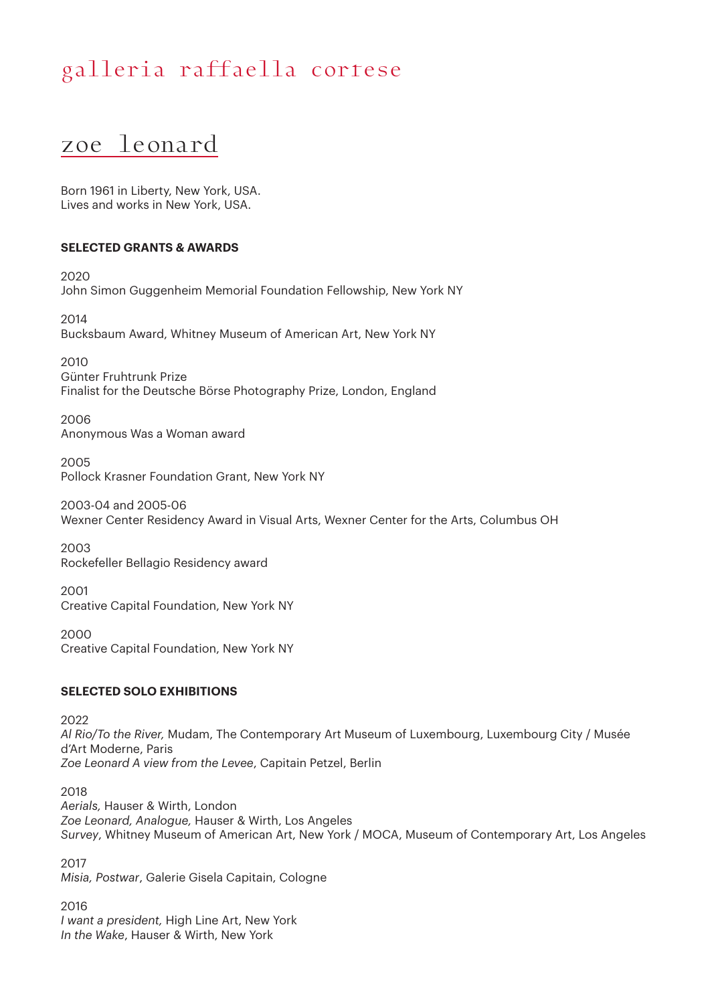### zoe leonard

Born 1961 in Liberty, New York, USA. Lives and works in New York, USA.

#### **SELECTED GRANTS & AWARDS**

2020 John Simon Guggenheim Memorial Foundation Fellowship, New York NY

2014 Bucksbaum Award, Whitney Museum of American Art, New York NY

2010 Günter Fruhtrunk Prize

Finalist for the Deutsche Börse Photography Prize, London, England

2006 Anonymous Was a Woman award

2005 Pollock Krasner Foundation Grant, New York NY

2003-04 and 2005-06 Wexner Center Residency Award in Visual Arts, Wexner Center for the Arts, Columbus OH

2003 Rockefeller Bellagio Residency award

2001 Creative Capital Foundation, New York NY

2000 Creative Capital Foundation, New York NY

#### **SELECTED SOLO EXHIBITIONS**

2022 *Al Rio/To the River,* Mudam, The Contemporary Art Museum of Luxembourg, Luxembourg City / Musée d'Art Moderne, Paris *Zoe Leonard A view from the Levee*, Capitain Petzel, Berlin

2018 *Aerials,* Hauser & Wirth, London *Zoe Leonard, Analogue,* Hauser & Wirth, Los Angeles *Survey*, Whitney Museum of American Art, New York / MOCA, Museum of Contemporary Art, Los Angeles

2017 *Misia, Postwar*, Galerie Gisela Capitain, Cologne

2016 *I want a president,* High Line Art, New York *In the Wake*, Hauser & Wirth, New York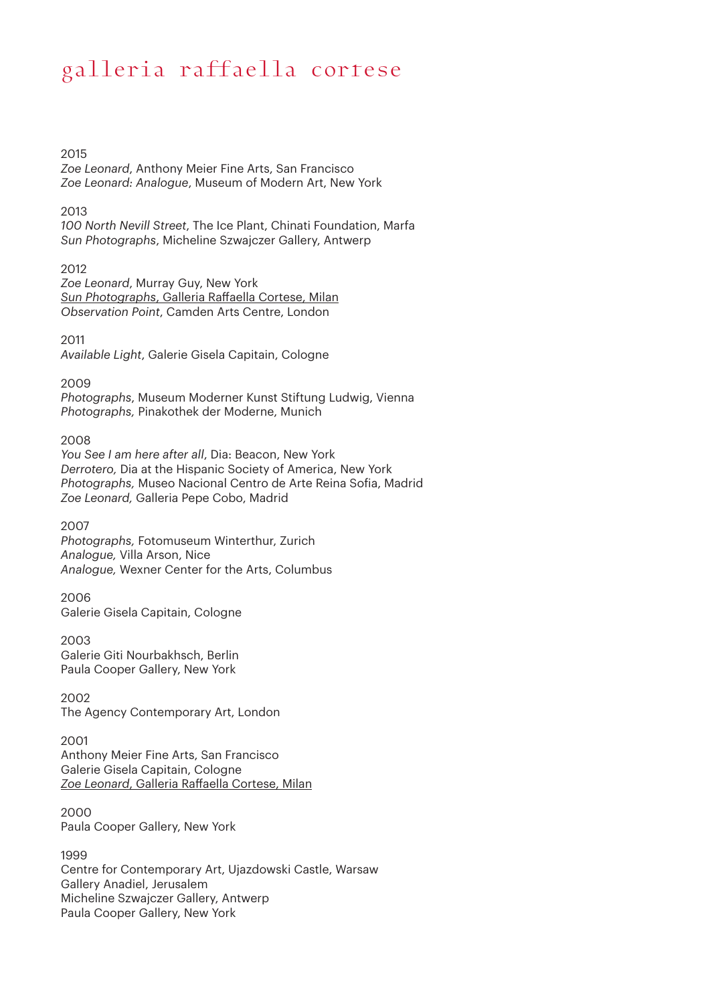2015

*Zoe Leonard*, Anthony Meier Fine Arts, San Francisco *Zoe Leonard: Analogue*, Museum of Modern Art, New York

2013

*100 North Nevill Street*, The Ice Plant, Chinati Foundation, Marfa *Sun Photographs*, Micheline Szwajczer Gallery, Antwerp

2012

*Zoe Leonard*, Murray Guy, New York *Sun Photographs*, Galleria Raffaella Cortese, Milan *Observation Point*, Camden Arts Centre, London

2011

*Available Light*, Galerie Gisela Capitain, Cologne

2009

*Photographs*, Museum Moderner Kunst Stiftung Ludwig, Vienna *Photographs,* Pinakothek der Moderne, Munich

2008

*You See I am here after all*, Dia: Beacon, New York *Derrotero,* Dia at the Hispanic Society of America, New York *Photographs,* Museo Nacional Centro de Arte Reina Sofia, Madrid *Zoe Leonard,* Galleria Pepe Cobo, Madrid

2007

*Photographs,* Fotomuseum Winterthur, Zurich *Analogue,* Villa Arson, Nice *Analogue,* Wexner Center for the Arts, Columbus

2006 Galerie Gisela Capitain, Cologne

2003 Galerie Giti Nourbakhsch, Berlin Paula Cooper Gallery, New York

2002 The Agency Contemporary Art, London

2001 Anthony Meier Fine Arts, San Francisco Galerie Gisela Capitain, Cologne

*Zoe Leonard*, Galleria Raffaella Cortese, Milan

2000 Paula Cooper Gallery, New York

1999 Centre for Contemporary Art, Ujazdowski Castle, Warsaw Gallery Anadiel, Jerusalem Micheline Szwajczer Gallery, Antwerp Paula Cooper Gallery, New York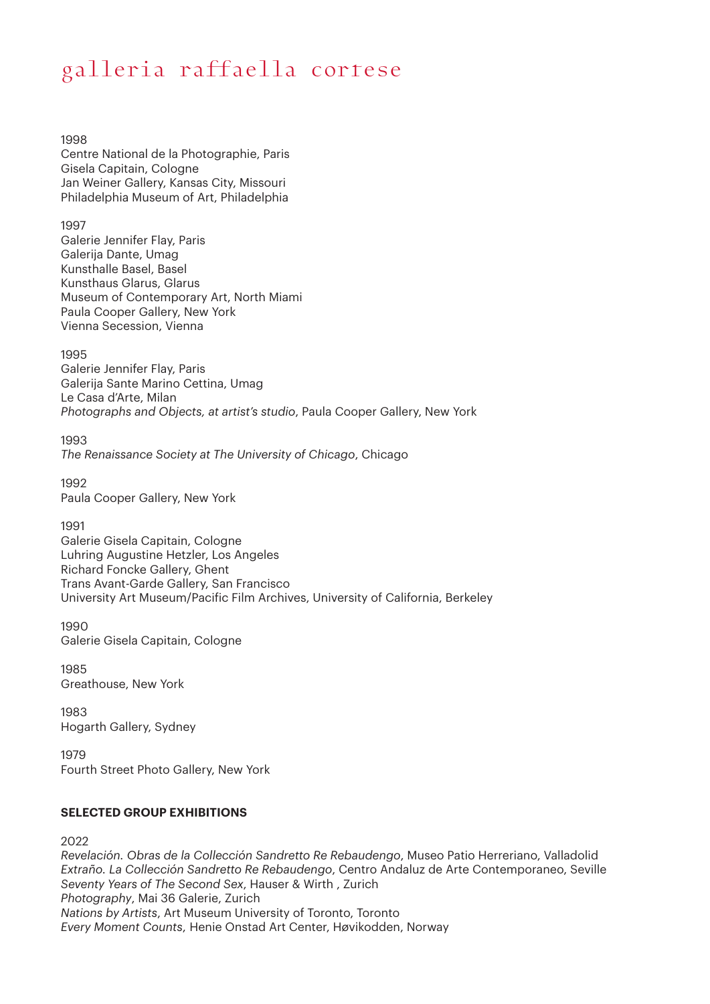1998

Centre National de la Photographie, Paris Gisela Capitain, Cologne Jan Weiner Gallery, Kansas City, Missouri Philadelphia Museum of Art, Philadelphia

1997

Galerie Jennifer Flay, Paris Galerija Dante, Umag Kunsthalle Basel, Basel Kunsthaus Glarus, Glarus Museum of Contemporary Art, North Miami Paula Cooper Gallery, New York Vienna Secession, Vienna

1995

Galerie Jennifer Flay, Paris Galerija Sante Marino Cettina, Umag Le Casa d'Arte, Milan *Photographs and Objects, at artist's studio*, Paula Cooper Gallery, New York

1993 *The Renaissance Society at The University of Chicago*, Chicago

1992 Paula Cooper Gallery, New York

1991 Galerie Gisela Capitain, Cologne Luhring Augustine Hetzler, Los Angeles Richard Foncke Gallery, Ghent Trans Avant-Garde Gallery, San Francisco University Art Museum/Pacific Film Archives, University of California, Berkeley

1990 Galerie Gisela Capitain, Cologne

1985 Greathouse, New York

1983 Hogarth Gallery, Sydney

1979 Fourth Street Photo Gallery, New York

#### **SELECTED GROUP EXHIBITIONS**

2022

*Revelación. Obras de la Collección Sandretto Re Rebaudengo*, Museo Patio Herreriano, Valladolid *Extraño. La Collección Sandretto Re Rebaudengo*, Centro Andaluz de Arte Contemporaneo, Seville *Seventy Years of The Second Sex*, Hauser & Wirth , Zurich *Photography*, Mai 36 Galerie, Zurich *Nations by Artists*, Art Museum University of Toronto, Toronto *Every Moment Counts*, Henie Onstad Art Center, Høvikodden, Norway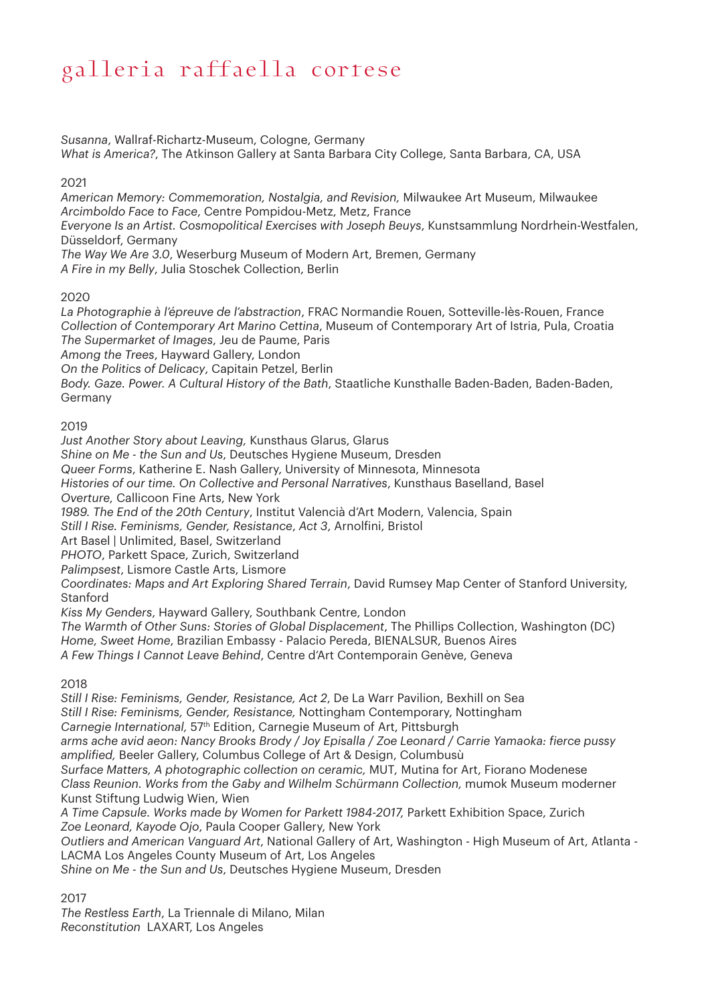*Susanna*, Wallraf-Richartz-Museum, Cologne, Germany *What is America?*, The Atkinson Gallery at Santa Barbara City College, Santa Barbara, CA, USA

#### 2021

*American Memory: Commemoration, Nostalgia, and Revision,* Milwaukee Art Museum, Milwaukee *Arcimboldo Face to Face*, Centre Pompidou-Metz, Metz, France

*Everyone Is an Artist. Cosmopolitical Exercises with Joseph Beuys*, Kunstsammlung Nordrhein-Westfalen, Düsseldorf, Germany

*The Way We Are 3.0*, Weserburg Museum of Modern Art, Bremen, Germany *A Fire in my Belly*, Julia Stoschek Collection, Berlin

2020

*La Photographie à l'épreuve de l'abstraction*, FRAC Normandie Rouen, Sotteville-lès-Rouen, France *Collection of Contemporary Art Marino Cettina*, Museum of Contemporary Art of Istria, Pula, Croatia *The Supermarket of Images*, Jeu de Paume, Paris

*Among the Trees*, Hayward Gallery, London

*On the Politics of Delicacy*, Capitain Petzel, Berlin

*Body. Gaze. Power. A Cultural History of the Bath*, Staatliche Kunsthalle Baden-Baden, Baden-Baden, Germany

#### 2019

*Just Another Story about Leaving,* Kunsthaus Glarus, Glarus

*Shine on Me - the Sun and Us*, Deutsches Hygiene Museum, Dresden

*Queer Forms*, Katherine E. Nash Gallery, University of Minnesota, Minnesota

*Histories of our time. On Collective and Personal Narratives*, Kunsthaus Baselland, Basel

*Overture,* Callicoon Fine Arts, New York

*1989. The End of the 20th Century*, Institut Valencià d'Art Modern, Valencia, Spain

*Still I Rise. Feminisms, Gender, Resistance*, *Act 3*, Arnolfini, Bristol

Art Basel | Unlimited, Basel, Switzerland

*PHOTO*, Parkett Space, Zurich, Switzerland

*Palimpsest*, Lismore Castle Arts, Lismore

*Coordinates: Maps and Art Exploring Shared Terrain*, David Rumsey Map Center of Stanford University, Stanford

*Kiss My Genders*, Hayward Gallery, Southbank Centre, London

*The Warmth of Other Suns: Stories of Global Displacement*, The Phillips Collection, Washington (DC) *Home, Sweet Home*, Brazilian Embassy - Palacio Pereda, BIENALSUR, Buenos Aires

*A Few Things I Cannot Leave Behind*, Centre d'Art Contemporain Genève, Geneva

2018

*Still I Rise: Feminisms, Gender, Resistance, Act 2*, De La Warr Pavilion, Bexhill on Sea *Still I Rise: Feminisms, Gender, Resistance,* Nottingham Contemporary, Nottingham *Carnegie International,* 57th Edition, Carnegie Museum of Art, Pittsburgh *arms ache avid aeon: Nancy Brooks Brody / Joy Episalla / Zoe Leonard / Carrie Yamaoka: fierce pussy amplified,* Beeler Gallery, Columbus College of Art & Design, Columbusù *Surface Matters, A photographic collection on ceramic,* MUT*,* Mutina for Art, Fiorano Modenese *Class Reunion. Works from the Gaby and Wilhelm Schürmann Collection,* mumok Museum moderner Kunst Stiftung Ludwig Wien, Wien *A Time Capsule. Works made by Women for Parkett 1984-2017,* Parkett Exhibition Space, Zurich *Zoe Leonard, Kayode Ojo*, Paula Cooper Gallery, New York *Outliers and American Vanguard Art*, National Gallery of Art, Washington - High Museum of Art, Atlanta - LACMA Los Angeles County Museum of Art, Los Angeles *Shine on Me - the Sun and Us*, Deutsches Hygiene Museum, Dresden

2017

*The Restless Earth*, La Triennale di Milano, Milan *Reconstitution* LAXART, Los Angeles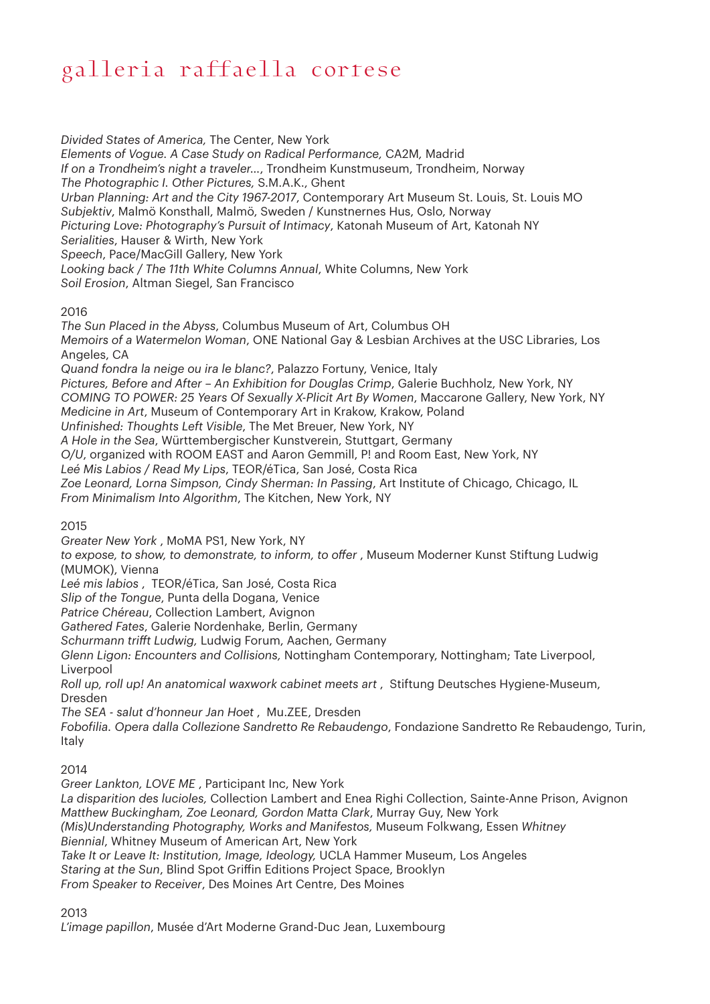*Divided States of America,* The Center, New York *Elements of Vogue. A Case Study on Radical Performance,* CA2M*,* Madrid *If on a Trondheim's night a traveler…*, Trondheim Kunstmuseum, Trondheim, Norway *The Photographic I. Other Pictures,* S.M.A.K., Ghent *Urban Planning: Art and the City 1967-2017*, Contemporary Art Museum St. Louis, St. Louis MO *Subjektiv*, Malmö Konsthall, Malmö, Sweden / Kunstnernes Hus, Oslo, Norway *Picturing Love: Photography's Pursuit of Intimacy*, Katonah Museum of Art, Katonah NY *Serialities*, Hauser & Wirth, New York *Speech*, Pace/MacGill Gallery, New York *Looking back / The 11th White Columns Annual*, White Columns, New York *Soil Erosion*, Altman Siegel, San Francisco

#### 2016

*The Sun Placed in the Abyss*, Columbus Museum of Art, Columbus OH *Memoirs of a Watermelon Woman*, ONE National Gay & Lesbian Archives at the USC Libraries, Los Angeles, CA *Quand fondra la neige ou ira le blanc?*, Palazzo Fortuny, Venice, Italy *Pictures, Before and After – An Exhibition for Douglas Crimp*, Galerie Buchholz, New York, NY *COMING TO POWER: 25 Years Of Sexually X-Plicit Art By Women*, Maccarone Gallery, New York, NY

*Medicine in Art*, Museum of Contemporary Art in Krakow, Krakow, Poland

*Unfinished: Thoughts Left Visible*, The Met Breuer, New York, NY

*A Hole in the Sea*, Württembergischer Kunstverein, Stuttgart, Germany

*O/U*, organized with ROOM EAST and Aaron Gemmill, P! and Room East, New York, NY

*Leé Mis Labios / Read My Lips*, TEOR/éTica, San José, Costa Rica

*Zoe Leonard, Lorna Simpson, Cindy Sherman: In Passing*, Art Institute of Chicago, Chicago, IL

*From Minimalism Into Algorithm*, The Kitchen, New York, NY

2015

*Greater New York* , MoMA PS1, New York, NY

*to expose, to show, to demonstrate, to inform, to offer* , Museum Moderner Kunst Stiftung Ludwig (MUMOK), Vienna

*Leé mis labios* , TEOR/éTica, San José, Costa Rica

*Slip of the Tongue*, Punta della Dogana, Venice

*Patrice Chéreau*, Collection Lambert, Avignon

*Gathered Fates*, Galerie Nordenhake, Berlin, Germany

*Schurmann trifft Ludwig,* Ludwig Forum, Aachen, Germany

*Glenn Ligon: Encounters and Collisions,* Nottingham Contemporary, Nottingham; Tate Liverpool, Liverpool

*Roll up, roll up! An anatomical waxwork cabinet meets art* , Stiftung Deutsches Hygiene-Museum, Dresden

*The SEA - salut d'honneur Jan Hoet* , Mu.ZEE, Dresden

*Fobofilia. Opera dalla Collezione Sandretto Re Rebaudengo*, Fondazione Sandretto Re Rebaudengo, Turin, Italy

#### 2014

*Greer Lankton, LOVE ME* , Participant Inc, New York *La disparition des lucioles,* Collection Lambert and Enea Righi Collection, Sainte-Anne Prison, Avignon *Matthew Buckingham, Zoe Leonard, Gordon Matta Clark*, Murray Guy, New York *(Mis)Understanding Photography, Works and Manifestos,* Museum Folkwang, Essen *Whitney Biennial*, Whitney Museum of American Art, New York *Take It or Leave It: Institution, Image, Ideology,* UCLA Hammer Museum, Los Angeles *Staring at the Sun*, Blind Spot Griffin Editions Project Space, Brooklyn *From Speaker to Receiver*, Des Moines Art Centre, Des Moines

2013

*L'image papillon*, Musée d'Art Moderne Grand-Duc Jean, Luxembourg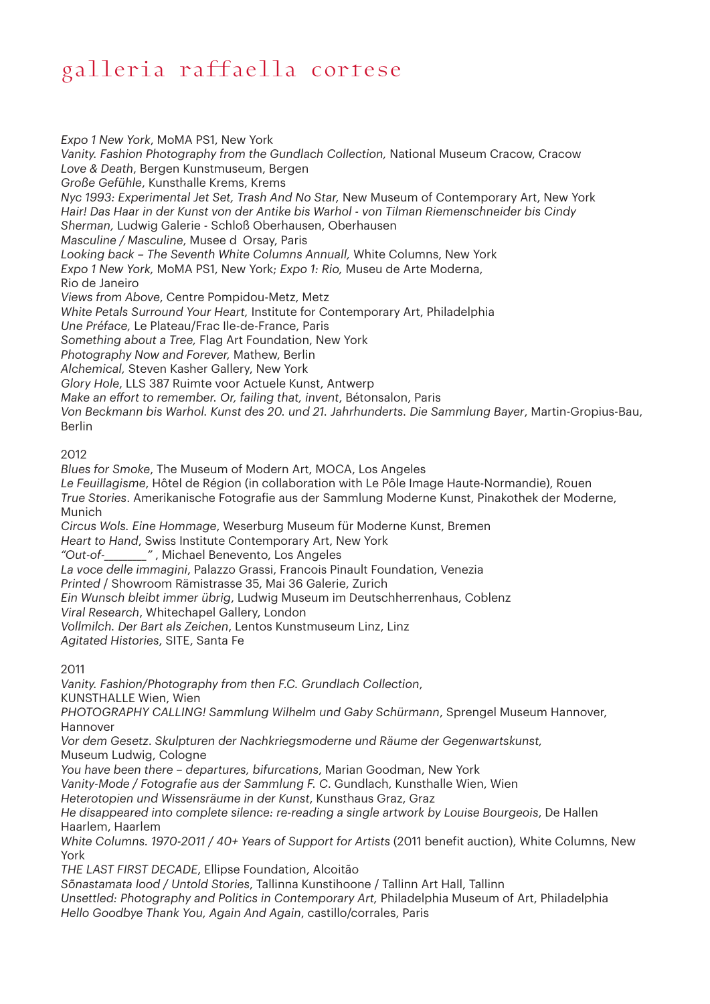*Expo 1 New York*, MoMA PS1, New York *Vanity. Fashion Photography from the Gundlach Collection,* National Museum Cracow, Cracow *Love & Death*, Bergen Kunstmuseum, Bergen *Große Gefühle*, Kunsthalle Krems, Krems *Nyc 1993: Experimental Jet Set, Trash And No Star,* New Museum of Contemporary Art, New York *Hair! Das Haar in der Kunst von der Antike bis Warhol - von Tilman Riemenschneider bis Cindy Sherman,* Ludwig Galerie - Schloß Oberhausen, Oberhausen *Masculine / Masculine*, Musee d'Orsay, Paris *Looking back – The Seventh White Columns Annuall,* White Columns, New York *Expo 1 New York,* MoMA PS1, New York; *Expo 1: Rio,* Museu de Arte Moderna, Rio de Janeiro *Views from Above*, Centre Pompidou-Metz, Metz *White Petals Surround Your Heart,* Institute for Contemporary Art, Philadelphia *Une Préface,* Le Plateau/Frac Ile-de-France, Paris *Something about a Tree,* Flag Art Foundation, New York *Photography Now and Forever,* Mathew, Berlin *Alchemical,* Steven Kasher Gallery, New York *Glory Hole*, LLS 387 Ruimte voor Actuele Kunst, Antwerp *Make an effort to remember. Or, failing that, invent*, Bétonsalon, Paris *Von Beckmann bis Warhol. Kunst des 20. und 21. Jahrhunderts. Die Sammlung Bayer*, Martin-Gropius-Bau, Berlin 2012 *Blues for Smoke*, The Museum of Modern Art, MOCA, Los Angeles *Le Feuillagisme*, Hôtel de Région (in collaboration with Le Pôle Image Haute-Normandie), Rouen *True Stories*. Amerikanische Fotografie aus der Sammlung Moderne Kunst, Pinakothek der Moderne, Munich *Circus Wols. Eine Hommage*, Weserburg Museum für Moderne Kunst, Bremen *Heart to Hand*, Swiss Institute Contemporary Art, New York *"Out-of-\_\_\_\_\_\_\_\_\_"* , Michael Benevento, Los Angeles *La voce delle immagini*, Palazzo Grassi, Francois Pinault Foundation, Venezia *Printed* / Showroom Rämistrasse 35, Mai 36 Galerie, Zurich *Ein Wunsch bleibt immer übrig*, Ludwig Museum im Deutschherrenhaus, Coblenz *Viral Research*, Whitechapel Gallery, London

*Vollmilch. Der Bart als Zeichen*, Lentos Kunstmuseum Linz, Linz

*Agitated Histories*, SITE, Santa Fe

2011

*Vanity. Fashion/Photography from then F.C. Grundlach Collection*,

KUNSTHALLE Wien, Wien

*PHOTOGRAPHY CALLING! Sammlung Wilhelm und Gaby Schürmann*, Sprengel Museum Hannover, Hannover

*Vor dem Gesetz*. *Skulpturen der Nachkriegsmoderne und Räume der Gegenwartskunst,* Museum Ludwig, Cologne

*You have been there – departures, bifurcations*, Marian Goodman, New York

*Vanity-Mode / Fotografie aus der Sammlung F. C*. Gundlach, Kunsthalle Wien, Wien

*Heterotopien und Wissensräume in der Kunst*, Kunsthaus Graz, Graz

*He disappeared into complete silence: re-reading a single artwork by Louise Bourgeois*, De Hallen Haarlem, Haarlem

*White Columns. 1970-2011 / 40+ Years of Support for Artists* (2011 benefit auction), White Columns, New York

*THE LAST FIRST DECADE*, Ellipse Foundation, Alcoitão

*Sõnastamata lood / Untold Stories*, Tallinna Kunstihoone / Tallinn Art Hall, Tallinn

*Unsettled: Photography and Politics in Contemporary Art,* Philadelphia Museum of Art, Philadelphia *Hello Goodbye Thank You, Again And Again*, castillo/corrales, Paris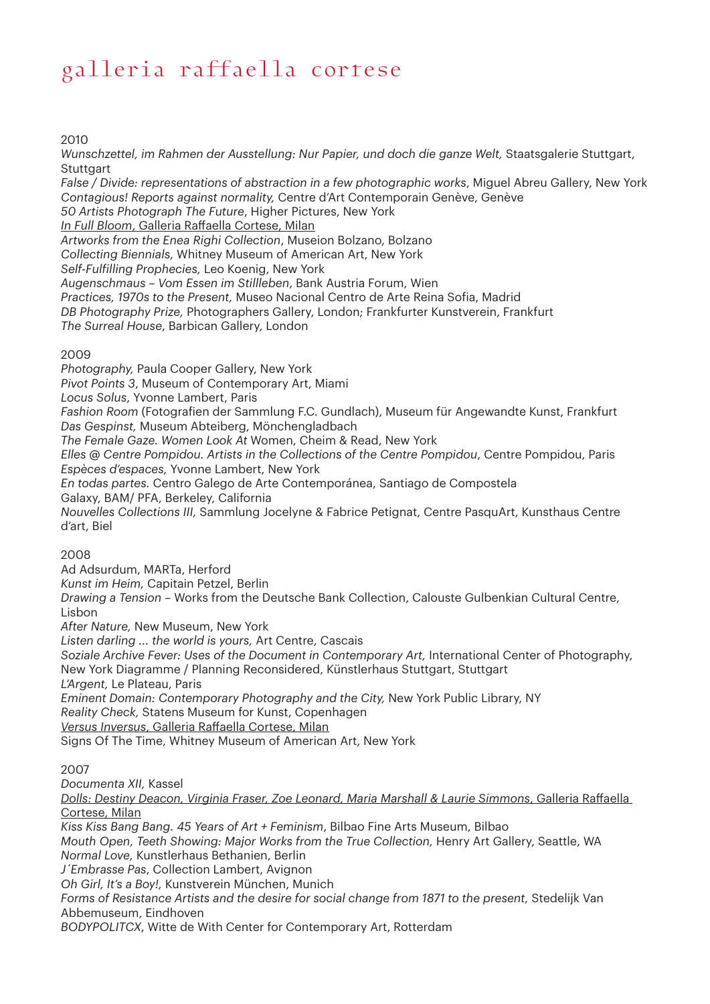2010

*Wunschzettel, im Rahmen der Ausstellung: Nur Papier, und doch die ganze Welt,* Staatsgalerie Stuttgart, **Stuttgart** 

*False / Divide: representations of abstraction in a few photographic works*, Miguel Abreu Gallery, New York *Contagious! Reports against normality,* Centre d'Art Contemporain Genève, Genève

*50 Artists Photograph The Future*, Higher Pictures, New York

*In Full Bloom*, Galleria Raffaella Cortese, Milan

*Artworks from the Enea Righi Collection*, Museion Bolzano, Bolzano

*Collecting Biennials,* Whitney Museum of American Art, New York

*Self-Fulfilling Prophecies,* Leo Koenig, New York

*Augenschmaus – Vom Essen im Stillleben*, Bank Austria Forum, Wien

*Practices, 1970s to the Present,* Museo Nacional Centro de Arte Reina Sofia, Madrid

*DB Photography Prize,* Photographers Gallery, London; Frankfurter Kunstverein, Frankfurt

*The Surreal House*, Barbican Gallery, London

#### 2009

*Photography,* Paula Cooper Gallery, New York

*Pivot Points 3*, Museum of Contemporary Art, Miami

*Locus Solus*, Yvonne Lambert, Paris

*Fashion Room* (Fotografien der Sammlung F.C. Gundlach), Museum für Angewandte Kunst, Frankfurt *Das Gespinst,* Museum Abteiberg, Mönchengladbach

*The Female Gaze. Women Look At* Women, Cheim & Read, New York

*Elles @ Centre Pompidou. Artists in the Collections of the Centre Pompidou*, Centre Pompidou, Paris *Espèces d'espaces,* Yvonne Lambert, New York

*En todas partes.* Centro Galego de Arte Contemporánea, Santiago de Compostela

Galaxy, BAM/ PFA, Berkeley, California

*Nouvelles Collections III,* Sammlung Jocelyne & Fabrice Petignat, Centre PasquArt, Kunsthaus Centre d'art, Biel

#### 2008

Ad Adsurdum, MARTa, Herford

*Kunst im Heim,* Capitain Petzel, Berlin

*Drawing a Tension* – Works from the Deutsche Bank Collection, Calouste Gulbenkian Cultural Centre, Lisbon

*After Nature,* New Museum, New York

*Listen darling ... the world is yours,* Art Centre, Cascais

*Soziale Archive Fever: Uses of the Document in Contemporary Art,* International Center of Photography, New York Diagramme / Planning Reconsidered, Künstlerhaus Stuttgart, Stuttgart *L'Argent,* Le Plateau, Paris

*Eminent Domain: Contemporary Photography and the City,* New York Public Library, NY *Reality Check,* Statens Museum for Kunst, Copenhagen

*Versus Inversus*, Galleria Raffaella Cortese, Milan

Signs Of The Time, Whitney Museum of American Art, New York

#### 2007

*Documenta XII,* Kassel

*Dolls: Destiny Deacon, Virginia Fraser, Zoe Leonard, Maria Marshall & Laurie Simmons*, Galleria Raffaella Cortese, Milan

*Kiss Kiss Bang Bang. 45 Years of Art + Feminism*, Bilbao Fine Arts Museum, Bilbao *Mouth Open, Teeth Showing: Major Works from the True Collection,* Henry Art Gallery, Seattle, WA *Normal Love,* Kunstlerhaus Bethanien, Berlin *J´Embrasse Pas*, Collection Lambert, Avignon

*Oh Girl, It's a Boy!,* Kunstverein München, Munich

Forms of Resistance Artists and the desire for social change from 1871 to the present, Stedelijk Van Abbemuseum, Eindhoven

*BODYPOLITCX*, Witte de With Center for Contemporary Art, Rotterdam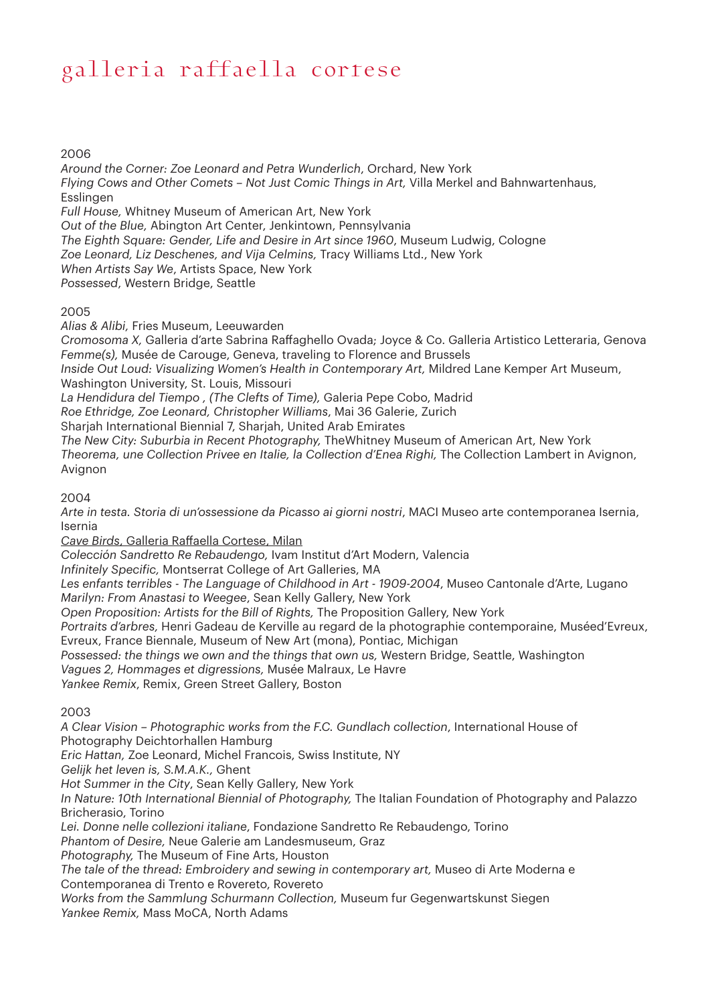#### 2006

*Around the Corner: Zoe Leonard and Petra Wunderlich*, Orchard, New York *Flying Cows and Other Comets – Not Just Comic Things in Art,* Villa Merkel and Bahnwartenhaus, Esslingen *Full House,* Whitney Museum of American Art, New York *Out of the Blue,* Abington Art Center, Jenkintown, Pennsylvania *The Eighth Square: Gender, Life and Desire in Art since 1960*, Museum Ludwig, Cologne *Zoe Leonard, Liz Deschenes, and Vija Celmins,* Tracy Williams Ltd., New York *When Artists Say We*, Artists Space, New York *Possessed*, Western Bridge, Seattle

#### 2005

*Alias & Alibi,* Fries Museum, Leeuwarden

*Cromosoma X,* Galleria d'arte Sabrina Raffaghello Ovada; Joyce & Co. Galleria Artistico Letteraria, Genova *Femme(s),* Musée de Carouge, Geneva, traveling to Florence and Brussels

*Inside Out Loud: Visualizing Women's Health in Contemporary Art,* Mildred Lane Kemper Art Museum, Washington University, St. Louis, Missouri

*La Hendidura del Tiempo , (The Clefts of Time),* Galeria Pepe Cobo, Madrid

*Roe Ethridge, Zoe Leonard, Christopher Williams*, Mai 36 Galerie, Zurich

Sharjah International Biennial 7, Sharjah, United Arab Emirates

*The New City: Suburbia in Recent Photography,* TheWhitney Museum of American Art, New York *Theorema, une Collection Privee en Italie, la Collection d'Enea Righi,* The Collection Lambert in Avignon, Avignon

#### 2004

*Arte in testa. Storia di un'ossessione da Picasso ai giorni nostri*, MACI Museo arte contemporanea Isernia, Isernia

*Cave Birds*, Galleria Raffaella Cortese, Milan

*Colección Sandretto Re Rebaudengo,* Ivam Institut d'Art Modern, Valencia

*Infinitely Specific,* Montserrat College of Art Galleries, MA

*Les enfants terribles* - *The Language of Childhood in Art - 1909-2004*, Museo Cantonale d'Arte, Lugano *Marilyn: From Anastasi to Weegee*, Sean Kelly Gallery, New York

*Open Proposition: Artists for the Bill of Rights,* The Proposition Gallery, New York

*Portraits d'arbres,* Henri Gadeau de Kerville au regard de la photographie contemporaine, Muséed'Evreux, Evreux, France Biennale, Museum of New Art (mona), Pontiac, Michigan

*Possessed: the things we own and the things that own us,* Western Bridge, Seattle, Washington

*Vagues 2, Hommages et digressions,* Musée Malraux, Le Havre

*Yankee Remix*, Remix, Green Street Gallery, Boston

#### 2003

*A Clear Vision – Photographic works from the F.C. Gundlach collection*, International House of

Photography Deichtorhallen Hamburg

*Eric Hattan,* Zoe Leonard, Michel Francois, Swiss Institute, NY

*Gelijk het leven is, S.M.A.K.,* Ghent

*Hot Summer in the City*, Sean Kelly Gallery, New York

*In Nature: 10th International Biennial of Photography,* The Italian Foundation of Photography and Palazzo Bricherasio, Torino

*Lei. Donne nelle collezioni italiane*, Fondazione Sandretto Re Rebaudengo, Torino

*Phantom of Desire,* Neue Galerie am Landesmuseum, Graz

*Photography,* The Museum of Fine Arts, Houston

*The tale of the thread: Embroidery and sewing in contemporary art,* Museo di Arte Moderna e Contemporanea di Trento e Rovereto, Rovereto

*Works from the Sammlung Schurmann Collection,* Museum fur Gegenwartskunst Siegen *Yankee Remix,* Mass MoCA, North Adams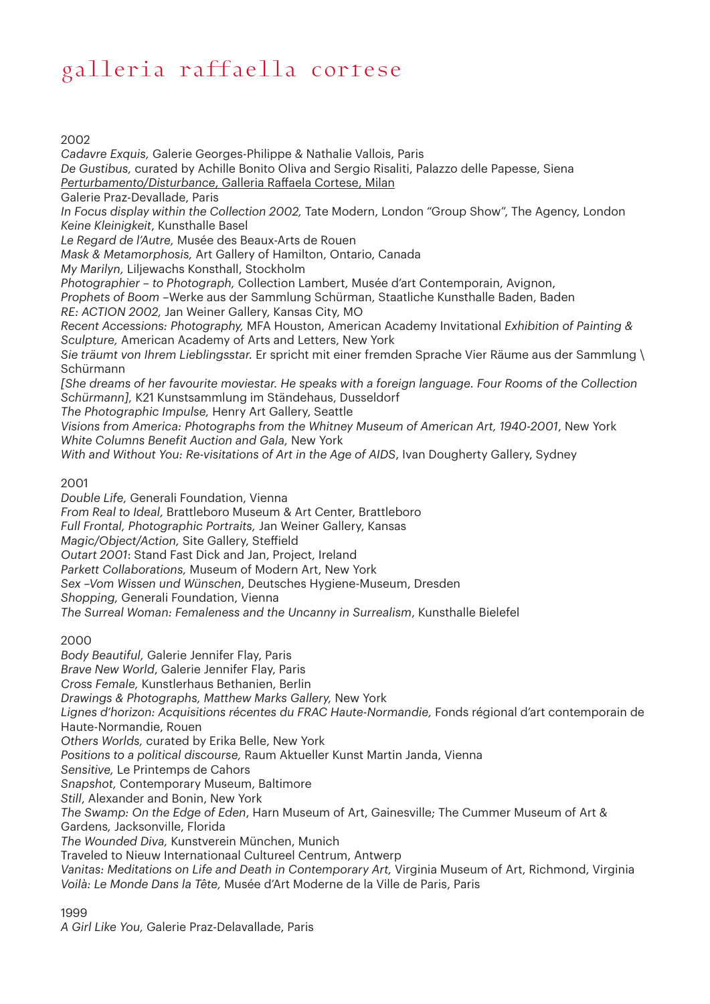#### 2002

*Cadavre Exquis,* Galerie Georges-Philippe & Nathalie Vallois, Paris *De Gustibus,* curated by Achille Bonito Oliva and Sergio Risaliti, Palazzo delle Papesse, Siena *Perturbamento/Disturbance*, Galleria Raffaela Cortese, Milan Galerie Praz-Devallade, Paris *In Focus display within the Collection 2002,* Tate Modern, London "Group Show", The Agency, London *Keine Kleinigkeit*, Kunsthalle Basel *Le Regard de l'Autre,* Musée des Beaux-Arts de Rouen *Mask & Metamorphosis,* Art Gallery of Hamilton, Ontario, Canada *My Marilyn,* Liljewachs Konsthall, Stockholm *Photographier – to Photograph,* Collection Lambert, Musée d'art Contemporain, Avignon, *Prophets of Boom –*Werke aus der Sammlung Schürman, Staatliche Kunsthalle Baden, Baden *RE: ACTION 2002,* Jan Weiner Gallery, Kansas City, MO *Recent Accessions: Photography,* MFA Houston, American Academy Invitational *Exhibition of Painting & Sculpture,* American Academy of Arts and Letters, New York *Sie träumt von Ihrem Lieblingsstar.* Er spricht mit einer fremden Sprache Vier Räume aus der Sammlung \ Schürmann *[She dreams of her favourite moviestar. He speaks with a foreign language. Four Rooms of the Collection Schürmann],* K21 Kunstsammlung im Ständehaus, Dusseldorf *The Photographic Impulse,* Henry Art Gallery, Seattle *Visions from America: Photographs from the Whitney Museum of American Art, 1940-2001*, New York *White Columns Benefit Auction and Gala,* New York *With and Without You: Re-visitations of Art in the Age of AIDS*, Ivan Dougherty Gallery, Sydney

#### 2001

*Double Life,* Generali Foundation, Vienna *From Real to Ideal,* Brattleboro Museum & Art Center, Brattleboro *Full Frontal, Photographic Portraits,* Jan Weiner Gallery, Kansas *Magic/Object/Action,* Site Gallery, Steffield *Outart 2001*: Stand Fast Dick and Jan, Project, Ireland *Parkett Collaborations,* Museum of Modern Art, New York *Sex –Vom Wissen und Wünschen*, Deutsches Hygiene-Museum, Dresden *Shopping,* Generali Foundation, Vienna *The Surreal Woman: Femaleness and the Uncanny in Surrealism*, Kunsthalle Bielefel

#### 2000

*Body Beautiful,* Galerie Jennifer Flay, Paris *Brave New World*, Galerie Jennifer Flay, Paris *Cross Female,* Kunstlerhaus Bethanien, Berlin *Drawings & Photographs, Matthew Marks Gallery,* New York Lignes d'horizon: Acquisitions récentes du FRAC Haute-Normandie, Fonds régional d'art contemporain de Haute-Normandie, Rouen *Others Worlds,* curated by Erika Belle, New York *Positions to a political discourse,* Raum Aktueller Kunst Martin Janda, Vienna *Sensitive,* Le Printemps de Cahors *Snapshot,* Contemporary Museum, Baltimore *Still*, Alexander and Bonin, New York *The Swamp: On the Edge of Eden*, Harn Museum of Art, Gainesville; The Cummer Museum of Art & Gardens*,* Jacksonville, Florida *The Wounded Diva,* Kunstverein München, Munich Traveled to Nieuw Internationaal Cultureel Centrum, Antwerp *Vanitas: Meditations on Life and Death in Contemporary Art,* Virginia Museum of Art, Richmond, Virginia *Voilà: Le Monde Dans la Tête,* Musée d'Art Moderne de la Ville de Paris, Paris

#### 1999

*A Girl Like You,* Galerie Praz-Delavallade, Paris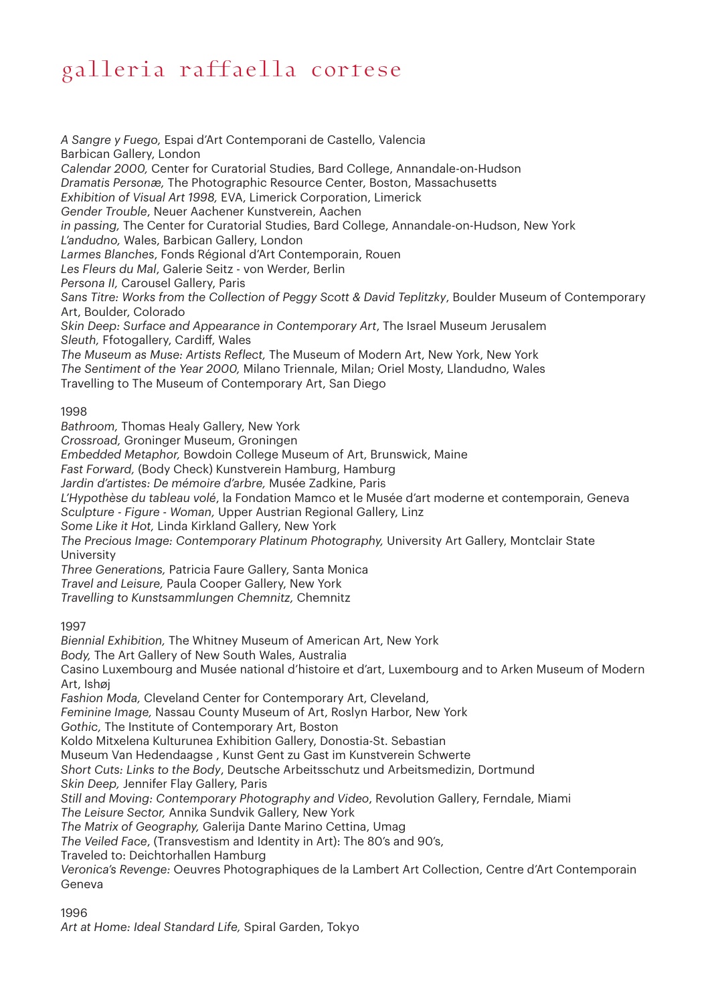*A Sangre y Fuego,* Espai d'Art Contemporani de Castello, Valencia Barbican Gallery, London *Calendar 2000,* Center for Curatorial Studies, Bard College, Annandale-on-Hudson *Dramatis Personæ,* The Photographic Resource Center, Boston, Massachusetts *Exhibition of Visual Art 1998,* EVA, Limerick Corporation, Limerick *Gender Trouble*, Neuer Aachener Kunstverein, Aachen *in passing,* The Center for Curatorial Studies, Bard College, Annandale-on-Hudson, New York *L'andudno,* Wales, Barbican Gallery, London *Larmes Blanches*, Fonds Régional d'Art Contemporain, Rouen *Les Fleurs du Mal*, Galerie Seitz - von Werder, Berlin *Persona II,* Carousel Gallery, Paris *Sans Titre: Works from the Collection of Peggy Scott & David Teplitzky*, Boulder Museum of Contemporary Art, Boulder, Colorado *Skin Deep: Surface and Appearance in Contemporary Art*, The Israel Museum Jerusalem *Sleuth,* Ffotogallery, Cardiff, Wales *The Museum as Muse: Artists Reflect,* The Museum of Modern Art, New York, New York *The Sentiment of the Year 2000,* Milano Triennale, Milan; Oriel Mosty, Llandudno, Wales Travelling to The Museum of Contemporary Art, San Diego 1998 *Bathroom,* Thomas Healy Gallery, New York *Crossroad,* Groninger Museum, Groningen *Embedded Metaphor,* Bowdoin College Museum of Art, Brunswick, Maine *Fast Forward,* (Body Check) Kunstverein Hamburg, Hamburg *Jardin d'artistes: De mémoire d'arbre,* Musée Zadkine, Paris *L'Hypothèse du tableau volé*, la Fondation Mamco et le Musée d'art moderne et contemporain, Geneva *Sculpture - Figure - Woman,* Upper Austrian Regional Gallery, Linz *Some Like it Hot,* Linda Kirkland Gallery, New York *The Precious Image: Contemporary Platinum Photography,* University Art Gallery, Montclair State **University** *Three Generations,* Patricia Faure Gallery, Santa Monica *Travel and Leisure,* Paula Cooper Gallery, New York *Travelling to Kunstsammlungen Chemnitz,* Chemnitz 1997 *Biennial Exhibition,* The Whitney Museum of American Art, New York *Body,* The Art Gallery of New South Wales, Australia Casino Luxembourg and Musée national d'histoire et d'art, Luxembourg and to Arken Museum of Modern Art, Ishøj *Fashion Moda,* Cleveland Center for Contemporary Art, Cleveland, *Feminine Image,* Nassau County Museum of Art, Roslyn Harbor, New York *Gothic,* The Institute of Contemporary Art, Boston Koldo Mitxelena Kulturunea Exhibition Gallery, Donostia-St. Sebastian Museum Van Hedendaagse , Kunst Gent zu Gast im Kunstverein Schwerte *Short Cuts: Links to the Body*, Deutsche Arbeitsschutz und Arbeitsmedizin, Dortmund *Skin Deep,* Jennifer Flay Gallery, Paris *Still and Moving: Contemporary Photography and Video*, Revolution Gallery, Ferndale, Miami *The Leisure Sector,* Annika Sundvik Gallery, New York *The Matrix of Geography,* Galerija Dante Marino Cettina, Umag *The Veiled Face*, (Transvestism and Identity in Art): The 80's and 90's, Traveled to: Deichtorhallen Hamburg *Veronica's Revenge:* Oeuvres Photographiques de la Lambert Art Collection, Centre d'Art Contemporain Geneva

#### 1996

*Art at Home: Ideal Standard Life,* Spiral Garden, Tokyo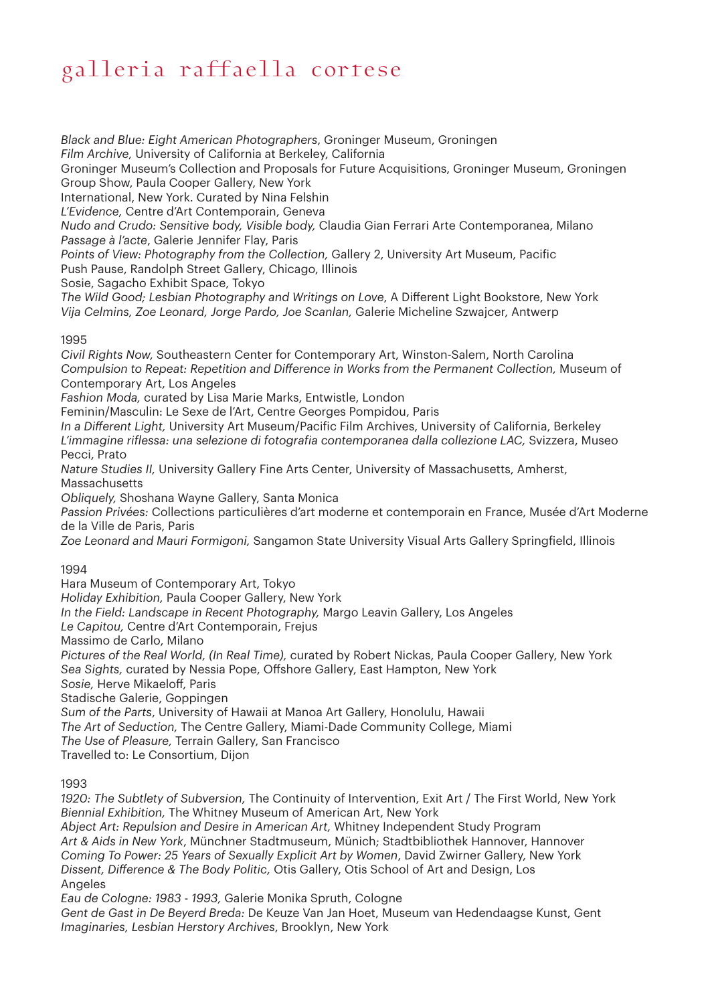*Black and Blue: Eight American Photographers*, Groninger Museum, Groningen *Film Archive,* University of California at Berkeley, California Groninger Museum's Collection and Proposals for Future Acquisitions, Groninger Museum, Groningen Group Show, Paula Cooper Gallery, New York International, New York. Curated by Nina Felshin *L'Evidence,* Centre d'Art Contemporain, Geneva *Nudo and Crudo: Sensitive body, Visible body,* Claudia Gian Ferrari Arte Contemporanea, Milano *Passage à l'acte*, Galerie Jennifer Flay, Paris *Points of View: Photography from the Collection,* Gallery 2, University Art Museum, Pacific Push Pause, Randolph Street Gallery, Chicago, Illinois Sosie, Sagacho Exhibit Space, Tokyo *The Wild Good; Lesbian Photography and Writings on Love*, A Different Light Bookstore, New York

### *Vija Celmins, Zoe Leonard, Jorge Pardo, Joe Scanlan,* Galerie Micheline Szwajcer, Antwerp

#### 1995

*Civil Rights Now,* Southeastern Center for Contemporary Art, Winston-Salem, North Carolina *Compulsion to Repeat: Repetition and Difference in Works from the Permanent Collection,* Museum of Contemporary Art, Los Angeles

*Fashion Moda,* curated by Lisa Marie Marks, Entwistle, London

Feminin/Masculin: Le Sexe de l'Art, Centre Georges Pompidou, Paris

*In a Different Light,* University Art Museum/Pacific Film Archives, University of California, Berkeley *L'immagine riflessa: una selezione di fotografia contemporanea dalla collezione LAC,* Svizzera, Museo Pecci, Prato

*Nature Studies II,* University Gallery Fine Arts Center, University of Massachusetts, Amherst, Massachusetts

*Obliquely,* Shoshana Wayne Gallery, Santa Monica

*Passion Privées:* Collections particulières d'art moderne et contemporain en France, Musée d'Art Moderne de la Ville de Paris, Paris

*Zoe Leonard and Mauri Formigoni,* Sangamon State University Visual Arts Gallery Springfield, Illinois

#### 1994

Hara Museum of Contemporary Art, Tokyo *Holiday Exhibition,* Paula Cooper Gallery, New York *In the Field: Landscape in Recent Photography,* Margo Leavin Gallery, Los Angeles *Le Capitou,* Centre d'Art Contemporain, Frejus Massimo de Carlo, Milano *Pictures of the Real World, (In Real Time),* curated by Robert Nickas, Paula Cooper Gallery, New York *Sea Sights,* curated by Nessia Pope, Offshore Gallery, East Hampton, New York *Sosie,* Herve Mikaeloff, Paris Stadische Galerie, Goppingen *Sum of the Parts*, University of Hawaii at Manoa Art Gallery, Honolulu, Hawaii *The Art of Seduction,* The Centre Gallery, Miami-Dade Community College, Miami *The Use of Pleasure,* Terrain Gallery, San Francisco Travelled to: Le Consortium, Dijon

#### 1993

*1920: The Subtlety of Subversion,* The Continuity of Intervention, Exit Art / The First World, New York *Biennial Exhibition,* The Whitney Museum of American Art, New York *Abject Art: Repulsion and Desire in American Art,* Whitney Independent Study Program *Art & Aids in New York*, Münchner Stadtmuseum, Münich; Stadtbibliothek Hannover, Hannover *Coming To Power: 25 Years of Sexually Explicit Art by Women*, David Zwirner Gallery, New York *Dissent, Difference & The Body Politic,* Otis Gallery, Otis School of Art and Design, Los Angeles *Eau de Cologne: 1983 - 1993,* Galerie Monika Spruth, Cologne *Gent de Gast in De Beyerd Breda:* De Keuze Van Jan Hoet, Museum van Hedendaagse Kunst, Gent

*Imaginaries, Lesbian Herstory Archives*, Brooklyn, New York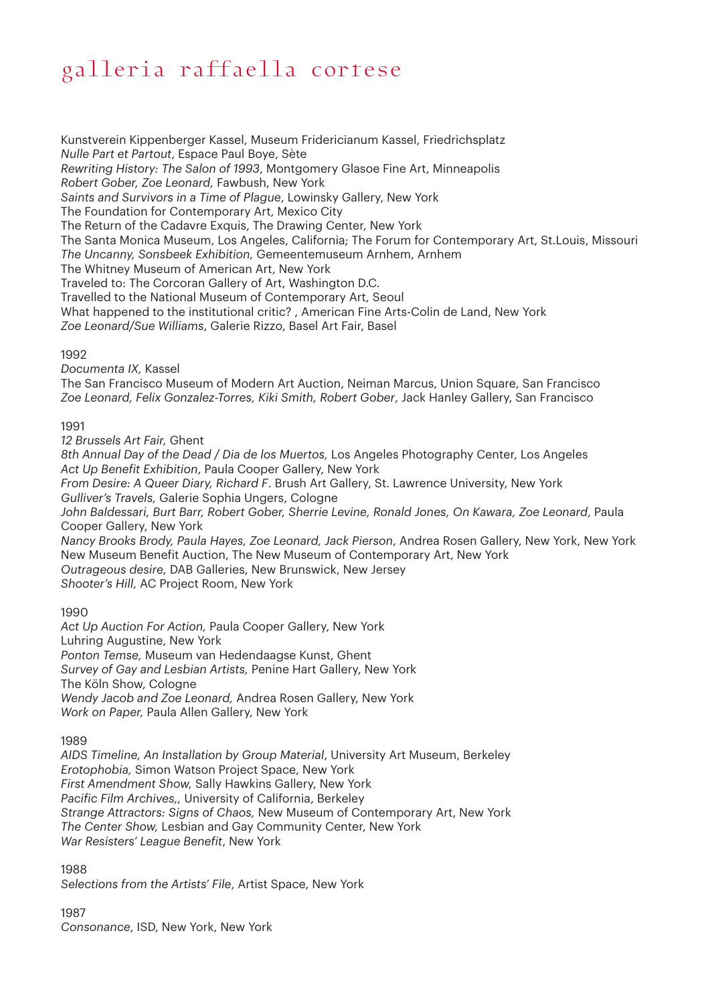Kunstverein Kippenberger Kassel, Museum Fridericianum Kassel, Friedrichsplatz *Nulle Part et Partout*, Espace Paul Boye, Sète *Rewriting History: The Salon of 1993*, Montgomery Glasoe Fine Art, Minneapolis *Robert Gober, Zoe Leonard,* Fawbush, New York *Saints and Survivors in a Time of Plague*, Lowinsky Gallery, New York The Foundation for Contemporary Art, Mexico City The Return of the Cadavre Exquis, The Drawing Center, New York The Santa Monica Museum, Los Angeles, California; The Forum for Contemporary Art, St.Louis, Missouri *The Uncanny, Sonsbeek Exhibition,* Gemeentemuseum Arnhem, Arnhem The Whitney Museum of American Art, New York Traveled to: The Corcoran Gallery of Art, Washington D.C. Travelled to the National Museum of Contemporary Art, Seoul What happened to the institutional critic? , American Fine Arts-Colin de Land, New York *Zoe Leonard/Sue Williams*, Galerie Rizzo, Basel Art Fair, Basel 1992 *Documenta IX,* Kassel The San Francisco Museum of Modern Art Auction, Neiman Marcus, Union Square, San Francisco *Zoe Leonard, Felix Gonzalez-Torres, Kiki Smith, Robert Gober*, Jack Hanley Gallery, San Francisco

#### 1991

*12 Brussels Art Fair,* Ghent *8th Annual Day of the Dead / Dia de los Muertos,* Los Angeles Photography Center, Los Angeles *Act Up Benefit Exhibition*, Paula Cooper Gallery, New York *From Desire: A Queer Diary, Richard F*. Brush Art Gallery, St. Lawrence University, New York *Gulliver's Travels,* Galerie Sophia Ungers, Cologne *John Baldessari, Burt Barr, Robert Gober, Sherrie Levine, Ronald Jones, On Kawara, Zoe Leonard*, Paula Cooper Gallery, New York *Nancy Brooks Brody, Paula Hayes, Zoe Leonard, Jack Pierson*, Andrea Rosen Gallery, New York, New York New Museum Benefit Auction, The New Museum of Contemporary Art, New York *Outrageous desire,* DAB Galleries, New Brunswick, New Jersey *Shooter's Hill,* AC Project Room, New York

#### 1990

*Act Up Auction For Action,* Paula Cooper Gallery, New York Luhring Augustine, New York *Ponton Temse,* Museum van Hedendaagse Kunst, Ghent *Survey of Gay and Lesbian Artists,* Penine Hart Gallery, New York The Köln Show, Cologne *Wendy Jacob and Zoe Leonard,* Andrea Rosen Gallery, New York *Work on Paper,* Paula Allen Gallery, New York

#### 1989

*AIDS Timeline, An Installation by Group Material*, University Art Museum, Berkeley *Erotophobia,* Simon Watson Project Space, New York *First Amendment Show,* Sally Hawkins Gallery, New York *Pacific Film Archives,,* University of California, Berkeley *Strange Attractors: Signs of Chaos,* New Museum of Contemporary Art, New York *The Center Show,* Lesbian and Gay Community Center, New York *War Resisters' League Benefit*, New York

1988

*Selections from the Artists' File*, Artist Space, New York

1987 *Consonance*, ISD, New York, New York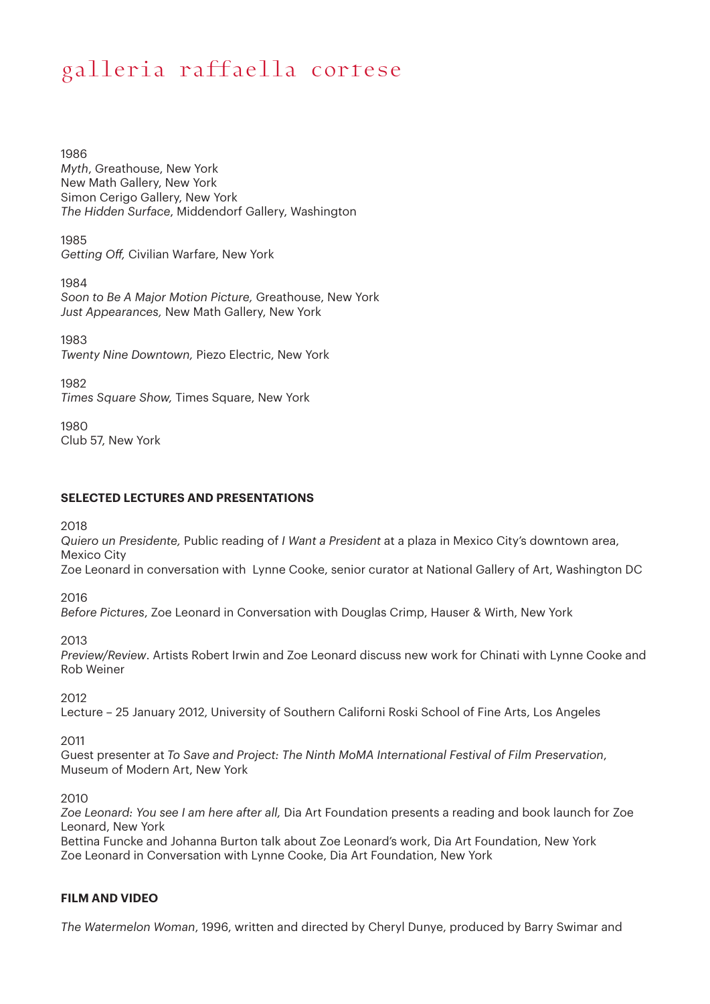1986 *Myth*, Greathouse, New York New Math Gallery, New York Simon Cerigo Gallery, New York *The Hidden Surface*, Middendorf Gallery, Washington

1985 *Getting Off,* Civilian Warfare, New York

1984 *Soon to Be A Major Motion Picture,* Greathouse, New York *Just Appearances,* New Math Gallery, New York

1983 *Twenty Nine Downtown,* Piezo Electric, New York

1982 *Times Square Show,* Times Square, New York

1980 Club 57, New York

#### **SELECTED LECTURES AND PRESENTATIONS**

2018

*Quiero un Presidente,* Public reading of *I Want a President* at a plaza in Mexico City's downtown area, Mexico City

Zoe Leonard in conversation with Lynne Cooke, senior curator at National Gallery of Art, Washington DC

2016

*Before Pictures*, Zoe Leonard in Conversation with Douglas Crimp, Hauser & Wirth, New York

2013

*Preview/Review*. Artists Robert Irwin and Zoe Leonard discuss new work for Chinati with Lynne Cooke and Rob Weiner

2012

Lecture – 25 January 2012, University of Southern Californi Roski School of Fine Arts, Los Angeles

2011

Guest presenter at *To Save and Project: The Ninth MoMA International Festival of Film Preservation*, Museum of Modern Art, New York

2010

*Zoe Leonard: You see I am here after all,* Dia Art Foundation presents a reading and book launch for Zoe Leonard, New York

Bettina Funcke and Johanna Burton talk about Zoe Leonard's work, Dia Art Foundation, New York Zoe Leonard in Conversation with Lynne Cooke, Dia Art Foundation, New York

#### **FILM AND VIDEO**

*The Watermelon Woman*, 1996, written and directed by Cheryl Dunye, produced by Barry Swimar and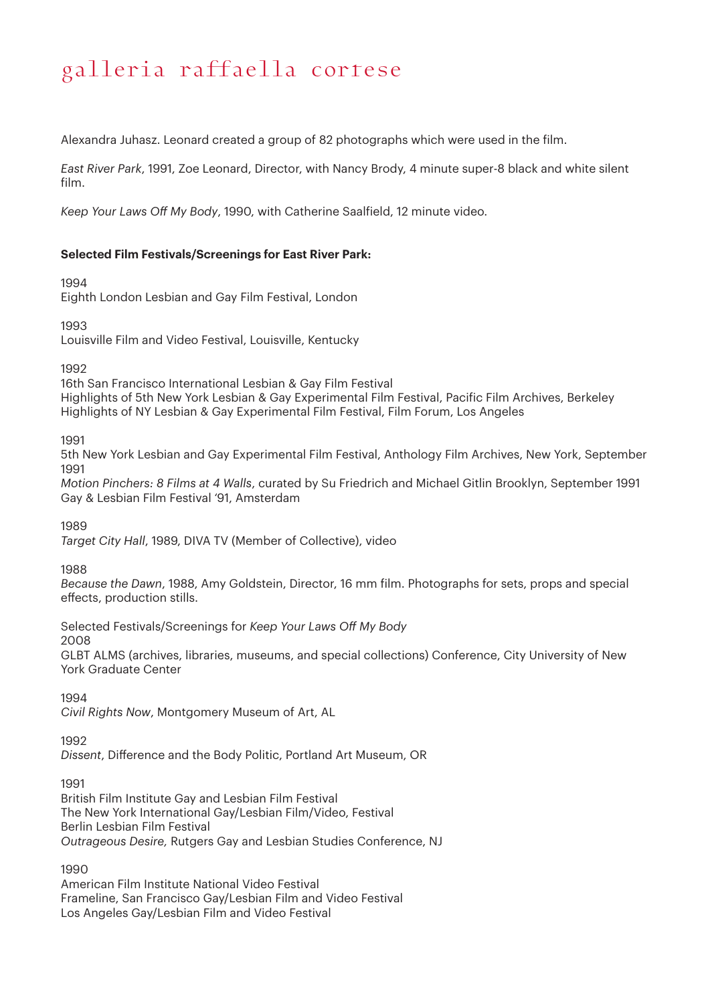Alexandra Juhasz. Leonard created a group of 82 photographs which were used in the film.

*East River Park*, 1991, Zoe Leonard, Director, with Nancy Brody, 4 minute super-8 black and white silent film.

*Keep Your Laws Off My Body*, 1990, with Catherine Saalfield, 12 minute video.

#### **Selected Film Festivals/Screenings for East River Park:**

#### 1994

Eighth London Lesbian and Gay Film Festival, London

1993

Louisville Film and Video Festival, Louisville, Kentucky

1992

16th San Francisco International Lesbian & Gay Film Festival Highlights of 5th New York Lesbian & Gay Experimental Film Festival, Pacific Film Archives, Berkeley Highlights of NY Lesbian & Gay Experimental Film Festival, Film Forum, Los Angeles

1991

5th New York Lesbian and Gay Experimental Film Festival, Anthology Film Archives, New York, September 1991

*Motion Pinchers: 8 Films at 4 Walls*, curated by Su Friedrich and Michael Gitlin Brooklyn, September 1991 Gay & Lesbian Film Festival '91, Amsterdam

1989

*Target City Hall*, 1989, DIVA TV (Member of Collective), video

1988

*Because the Dawn*, 1988, Amy Goldstein, Director, 16 mm film. Photographs for sets, props and special effects, production stills.

Selected Festivals/Screenings for *Keep Your Laws Off My Body*

2008

GLBT ALMS (archives, libraries, museums, and special collections) Conference, City University of New York Graduate Center

1994

*Civil Rights Now*, Montgomery Museum of Art, AL

1992

*Dissent*, Difference and the Body Politic, Portland Art Museum, OR

1991

British Film Institute Gay and Lesbian Film Festival The New York International Gay/Lesbian Film/Video, Festival Berlin Lesbian Film Festival *Outrageous Desire,* Rutgers Gay and Lesbian Studies Conference, NJ

1990

American Film Institute National Video Festival Frameline, San Francisco Gay/Lesbian Film and Video Festival Los Angeles Gay/Lesbian Film and Video Festival